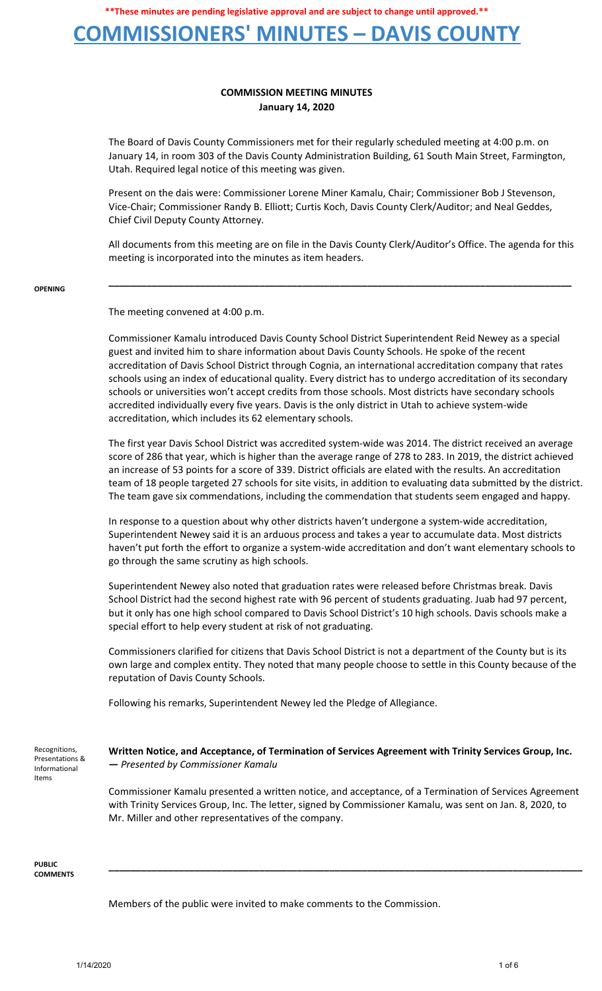## **COMMISSIONERS' MINUTES – DAVIS COUNTY**

## **COMMISSION MEETING MINUTES January 14, 2020**

The Board of Davis County Commissioners met for their regularly scheduled meeting at 4:00 p.m. on January 14, in room 303 of the Davis County Administration Building, 61 South Main Street, Farmington, Utah. Required legal notice of this meeting was given.

Present on the dais were: Commissioner Lorene Miner Kamalu, Chair; Commissioner Bob J Stevenson, Vice-Chair; Commissioner Randy B. Elliott; Curtis Koch, Davis County Clerk/Auditor; and Neal Geddes, Chief Civil Deputy County Attorney.

All documents from this meeting are on file in the Davis County Clerk/Auditor's Office. The agenda for this meeting is incorporated into the minutes as item headers.

**\_\_\_\_\_\_\_\_\_\_\_\_\_\_\_\_\_\_\_\_\_\_\_\_\_\_\_\_\_\_\_\_\_\_\_\_\_\_\_\_\_\_\_\_\_\_\_\_\_\_\_\_\_\_\_\_\_\_\_\_\_\_\_\_\_\_\_\_\_\_\_\_\_\_\_\_\_\_\_\_\_\_\_\_\_\_**

#### **OPENING**

The meeting convened at 4:00 p.m.

Commissioner Kamalu introduced Davis County School District Superintendent Reid Newey as a special guest and invited him to share information about Davis County Schools. He spoke of the recent accreditation of Davis School District through Cognia, an international accreditation company that rates schools using an index of educational quality. Every district has to undergo accreditation of its secondary schools or universities won't accept credits from those schools. Most districts have secondary schools accredited individually every five years. Davis is the only district in Utah to achieve system-wide accreditation, which includes its 62 elementary schools.

The first year Davis School District was accredited system-wide was 2014. The district received an average score of 286 that year, which is higher than the average range of 278 to 283. In 2019, the district achieved an increase of 53 points for a score of 339. District officials are elated with the results. An accreditation team of 18 people targeted 27 schools for site visits, in addition to evaluating data submitted by the district. The team gave six commendations, including the commendation that students seem engaged and happy.

In response to a question about why other districts haven't undergone a system-wide accreditation, Superintendent Newey said it is an arduous process and takes a year to accumulate data. Most districts haven't put forth the effort to organize a system-wide accreditation and don't want elementary schools to go through the same scrutiny as high schools.

Superintendent Newey also noted that graduation rates were released before Christmas break. Davis School District had the second highest rate with 96 percent of students graduating. Juab had 97 percent, but it only has one high school compared to Davis School District's 10 high schools. Davis schools make a special effort to help every student at risk of not graduating.

Commissioners clarified for citizens that Davis School District is not a department of the County but is its own large and complex entity. They noted that many people choose to settle in this County because of the reputation of Davis County Schools.

Following his remarks, Superintendent Newey led the Pledge of Allegiance.

Recognitions, Presentations & Informational Items

### **Written Notice, and Acceptance, of Termination of Services Agreement with Trinity Services Group, Inc. —** *Presented by Commissioner Kamalu*

Commissioner Kamalu presented a written notice, and acceptance, of a Termination of Services Agreement with Trinity Services Group, Inc. The letter, signed by Commissioner Kamalu, was sent on Jan. 8, 2020, to Mr. Miller and other representatives of the company.

**\_\_\_\_\_\_\_\_\_\_\_\_\_\_\_\_\_\_\_\_\_\_\_\_\_\_\_\_\_\_\_\_\_\_\_\_\_\_\_\_\_\_\_\_\_\_\_\_\_\_\_\_\_\_\_\_\_\_\_\_\_\_\_\_\_\_\_\_\_\_\_\_\_\_\_\_\_\_\_\_\_\_\_\_\_\_\_\_**

**PUBLIC COMMENTS**

Members of the public were invited to make comments to the Commission.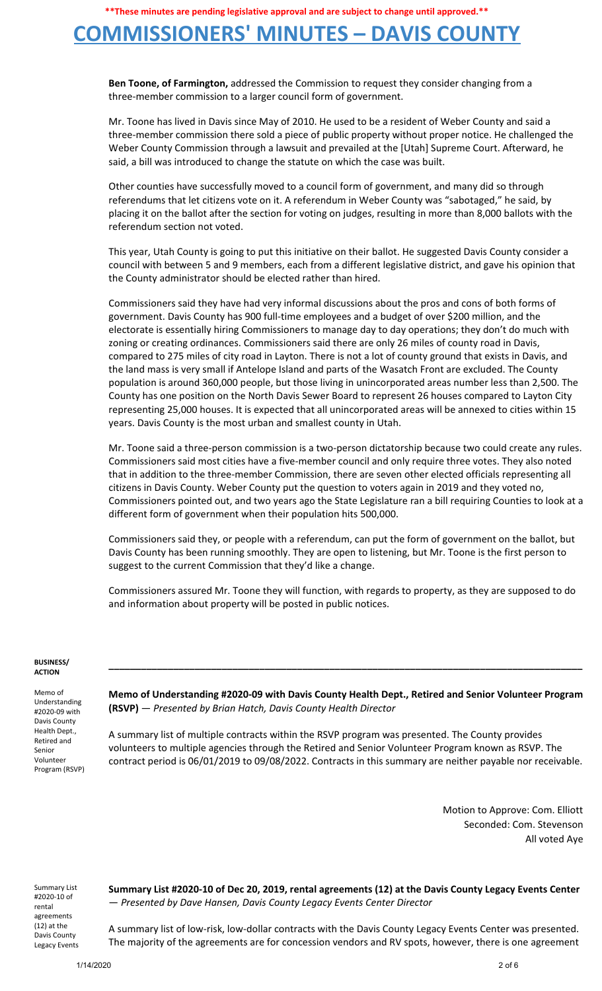## **COMMISSIONERS' MINUTES – DAVIS COUNTY**

**Ben Toone, of Farmington,** addressed the Commission to request they consider changing from a three-member commission to a larger council form of government.

Mr. Toone has lived in Davis since May of 2010. He used to be a resident of Weber County and said a three-member commission there sold a piece of public property without proper notice. He challenged the Weber County Commission through a lawsuit and prevailed at the [Utah] Supreme Court. Afterward, he said, a bill was introduced to change the statute on which the case was built.

Other counties have successfully moved to a council form of government, and many did so through referendums that let citizens vote on it. A referendum in Weber County was "sabotaged," he said, by placing it on the ballot after the section for voting on judges, resulting in more than 8,000 ballots with the referendum section not voted.

This year, Utah County is going to put this initiative on their ballot. He suggested Davis County consider a council with between 5 and 9 members, each from a different legislative district, and gave his opinion that the County administrator should be elected rather than hired.

Commissioners said they have had very informal discussions about the pros and cons of both forms of government. Davis County has 900 full-time employees and a budget of over \$200 million, and the electorate is essentially hiring Commissioners to manage day to day operations; they don't do much with zoning or creating ordinances. Commissioners said there are only 26 miles of county road in Davis, compared to 275 miles of city road in Layton. There is not a lot of county ground that exists in Davis, and the land mass is very small if Antelope Island and parts of the Wasatch Front are excluded. The County population is around 360,000 people, but those living in unincorporated areas number less than 2,500. The County has one position on the North Davis Sewer Board to represent 26 houses compared to Layton City representing 25,000 houses. It is expected that all unincorporated areas will be annexed to cities within 15 years. Davis County is the most urban and smallest county in Utah.

Mr. Toone said a three-person commission is a two-person dictatorship because two could create any rules. Commissioners said most cities have a five-member council and only require three votes. They also noted that in addition to the three-member Commission, there are seven other elected officials representing all citizens in Davis County. Weber County put the question to voters again in 2019 and they voted no, Commissioners pointed out, and two years ago the State Legislature ran a bill requiring Counties to look at a different form of government when their population hits 500,000.

Commissioners said they, or people with a referendum, can put the form of government on the ballot, but Davis County has been running smoothly. They are open to listening, but Mr. Toone is the first person to suggest to the current Commission that they'd like a change.

Commissioners assured Mr. Toone they will function, with regards to property, as they are supposed to do and information about property will be posted in public notices.

#### **BUSINESS/ ACTION**

Memo of Understanding #2020-09 with Davis County Health Dept., Retired and Senior Volunteer Program (RSVP)

**Memo of Understanding #2020-09 with Davis County Health Dept., Retired and Senior Volunteer Program (RSVP)** — *Presented by Brian Hatch, Davis County Health Director*

**\_\_\_\_\_\_\_\_\_\_\_\_\_\_\_\_\_\_\_\_\_\_\_\_\_\_\_\_\_\_\_\_\_\_\_\_\_\_\_\_\_\_\_\_\_\_\_\_\_\_\_\_\_\_\_\_\_\_\_\_\_\_\_\_\_\_\_\_\_\_\_\_\_\_\_\_\_\_\_\_\_\_\_\_\_\_\_\_**

A summary list of multiple contracts within the RSVP program was presented. The County provides volunteers to multiple agencies through the Retired and Senior Volunteer Program known as RSVP. The contract period is 06/01/2019 to 09/08/2022. Contracts in this summary are neither payable nor receivable.

> Motion to Approve: Com. Elliott Seconded: Com. Stevenson All voted Aye

Summary List #2020-10 of rental agreements (12) at the Davis County Legacy Events

**Summary List #2020-10 of Dec 20, 2019, rental agreements (12) at the Davis County Legacy Events Center** — *Presented by Dave Hansen, Davis County Legacy Events Center Director*

A summary list of low-risk, low-dollar contracts with the Davis County Legacy Events Center was presented. The majority of the agreements are for concession vendors and RV spots, however, there is one agreement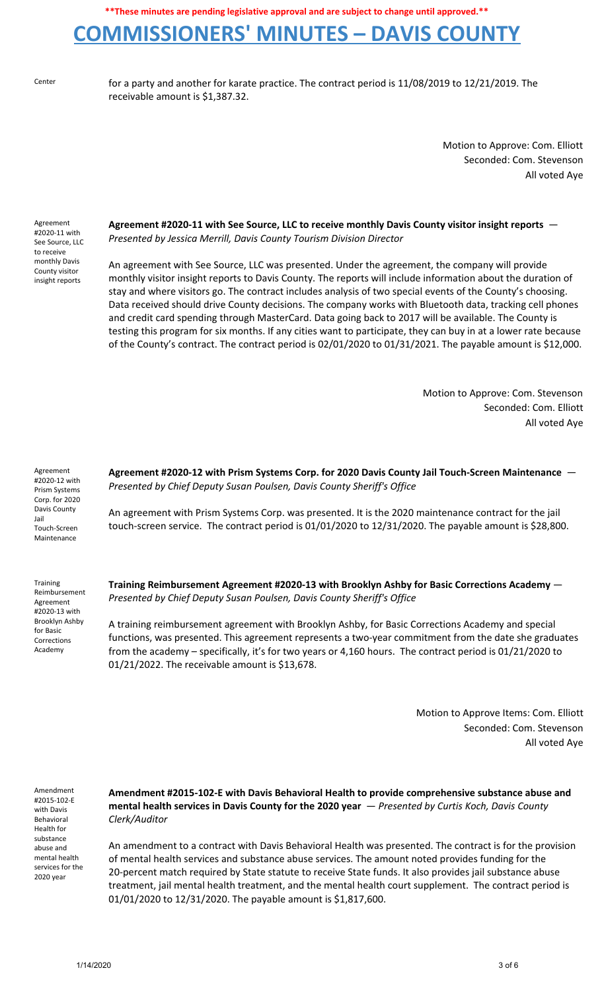# **COMMISSIONERS' MINUTES – DAVIS COUNTY**

Center for a party and another for karate practice. The contract period is 11/08/2019 to 12/21/2019. The receivable amount is \$1,387.32.

> Motion to Approve: Com. Elliott Seconded: Com. Stevenson All voted Aye

Agreement #2020-11 with See Source, LLC to receive monthly Davis County visitor insight reports

**Agreement #2020-11 with See Source, LLC to receive monthly Davis County visitor insight reports** — *Presented by Jessica Merrill, Davis County Tourism Division Director*

An agreement with See Source, LLC was presented. Under the agreement, the company will provide monthly visitor insight reports to Davis County. The reports will include information about the duration of stay and where visitors go. The contract includes analysis of two special events of the County's choosing. Data received should drive County decisions. The company works with Bluetooth data, tracking cell phones and credit card spending through MasterCard. Data going back to 2017 will be available. The County is testing this program for six months. If any cities want to participate, they can buy in at a lower rate because of the County's contract. The contract period is 02/01/2020 to 01/31/2021. The payable amount is \$12,000.

> Motion to Approve: Com. Stevenson Seconded: Com. Elliott All voted Aye

Agreement #2020-12 with Prism Systems Corp. for 2020 Davis County Jail Touch-Screen Maintenance

**Training** Reimbursement Agreement #2020-13 with Brooklyn Ashby for Basic Corrections Academy

**Agreement #2020-12 with Prism Systems Corp. for 2020 Davis County Jail Touch-Screen Maintenance** — *Presented by Chief Deputy Susan Poulsen, Davis County Sheriff's Office*

An agreement with Prism Systems Corp. was presented. It is the 2020 maintenance contract for the jail touch-screen service. The contract period is 01/01/2020 to 12/31/2020. The payable amount is \$28,800.

**Training Reimbursement Agreement #2020-13 with Brooklyn Ashby for Basic Corrections Academy** — *Presented by Chief Deputy Susan Poulsen, Davis County Sheriff's Office*

A training reimbursement agreement with Brooklyn Ashby, for Basic Corrections Academy and special functions, was presented. This agreement represents a two-year commitment from the date she graduates from the academy – specifically, it's for two years or 4,160 hours. The contract period is 01/21/2020 to 01/21/2022. The receivable amount is \$13,678.

> Motion to Approve Items: Com. Elliott Seconded: Com. Stevenson All voted Aye

Amendment #2015-102-E with Davis Behavioral Health for substance abuse and mental health services for the 2020 year

**Amendment #2015-102-E with Davis Behavioral Health to provide comprehensive substance abuse and mental health services in Davis County for the 2020 year** — *Presented by Curtis Koch, Davis County Clerk/Auditor*

An amendment to a contract with Davis Behavioral Health was presented. The contract is for the provision of mental health services and substance abuse services. The amount noted provides funding for the 20-percent match required by State statute to receive State funds. It also provides jail substance abuse treatment, jail mental health treatment, and the mental health court supplement. The contract period is 01/01/2020 to 12/31/2020. The payable amount is \$1,817,600.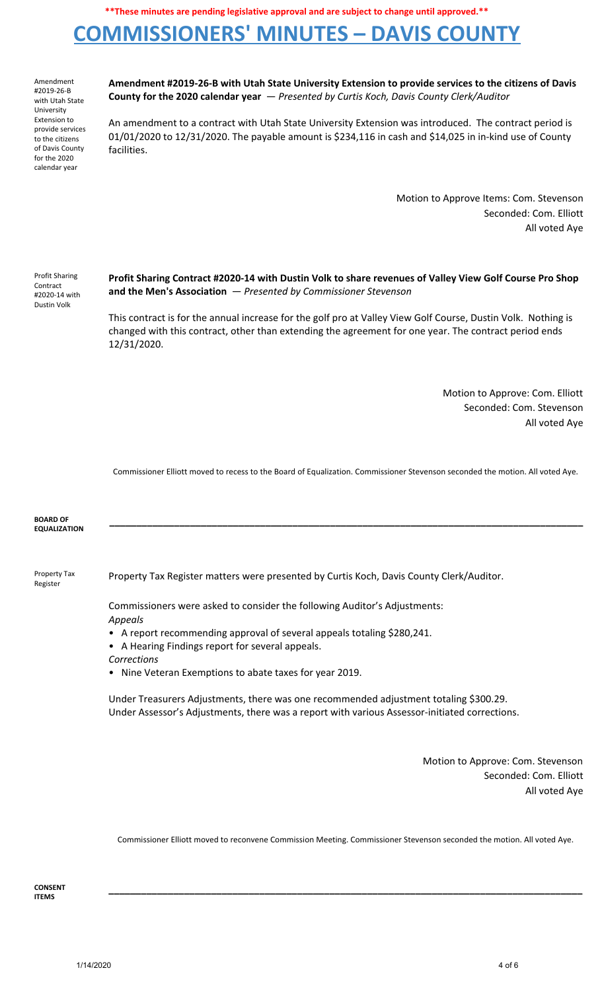# **COMMISSIONERS' MINUTES – DAVIS COUNTY**

Amendment #2019-26-B with Utah State University Extension to provide services to the citizens of Davis County for the 2020 calendar year

**Amendment #2019-26-B with Utah State University Extension to provide services to the citizens of Davis County for the 2020 calendar year** — *Presented by Curtis Koch, Davis County Clerk/Auditor*

An amendment to a contract with Utah State University Extension was introduced. The contract period is 01/01/2020 to 12/31/2020. The payable amount is \$234,116 in cash and \$14,025 in in-kind use of County facilities.

> Motion to Approve Items: Com. Stevenson Seconded: Com. Elliott All voted Aye

| <b>Profit Sharing</b><br>Contract<br>#2020-14 with<br>Dustin Volk | Profit Sharing Contract #2020-14 with Dustin Volk to share revenues of Valley View Golf Course Pro Shop<br>and the Men's Association $-$ Presented by Commissioner Stevenson                                                          |
|-------------------------------------------------------------------|---------------------------------------------------------------------------------------------------------------------------------------------------------------------------------------------------------------------------------------|
|                                                                   | This contract is for the annual increase for the golf pro at Valley View Golf Course, Dustin Volk. Nothing is<br>changed with this contract, other than extending the agreement for one year. The contract period ends<br>12/31/2020. |

Motion to Approve: Com. Elliott Seconded: Com. Stevenson All voted Aye

Commissioner Elliott moved to recess to the Board of Equalization. Commissioner Stevenson seconded the motion. All voted Aye.

| <b>BOARD OF</b><br><b>EQUALIZATION</b> |                                                                                                                                                                                                                                                                                                                                                                                                                                                                                                  |
|----------------------------------------|--------------------------------------------------------------------------------------------------------------------------------------------------------------------------------------------------------------------------------------------------------------------------------------------------------------------------------------------------------------------------------------------------------------------------------------------------------------------------------------------------|
| Property Tax<br>Register               | Property Tax Register matters were presented by Curtis Koch, Davis County Clerk/Auditor.                                                                                                                                                                                                                                                                                                                                                                                                         |
|                                        | Commissioners were asked to consider the following Auditor's Adjustments:<br>Appeals<br>• A report recommending approval of several appeals totaling \$280,241.<br>A Hearing Findings report for several appeals.<br>Corrections<br>Nine Veteran Exemptions to abate taxes for year 2019.<br>$\bullet$<br>Under Treasurers Adjustments, there was one recommended adjustment totaling \$300.29.<br>Under Assessor's Adjustments, there was a report with various Assessor-initiated corrections. |
|                                        | Motion to Approve: Com. Stevenson<br>Seconded: Com. Filiott<br>All voted Aye                                                                                                                                                                                                                                                                                                                                                                                                                     |

Commissioner Elliott moved to reconvene Commission Meeting. Commissioner Stevenson seconded the motion. All voted Aye.

**\_\_\_\_\_\_\_\_\_\_\_\_\_\_\_\_\_\_\_\_\_\_\_\_\_\_\_\_\_\_\_\_\_\_\_\_\_\_\_\_\_\_\_\_\_\_\_\_\_\_\_\_\_\_\_\_\_\_\_\_\_\_\_\_\_\_\_\_\_\_\_\_\_\_\_\_\_\_\_\_\_\_\_\_\_\_\_\_**

**CONSENT ITEMS**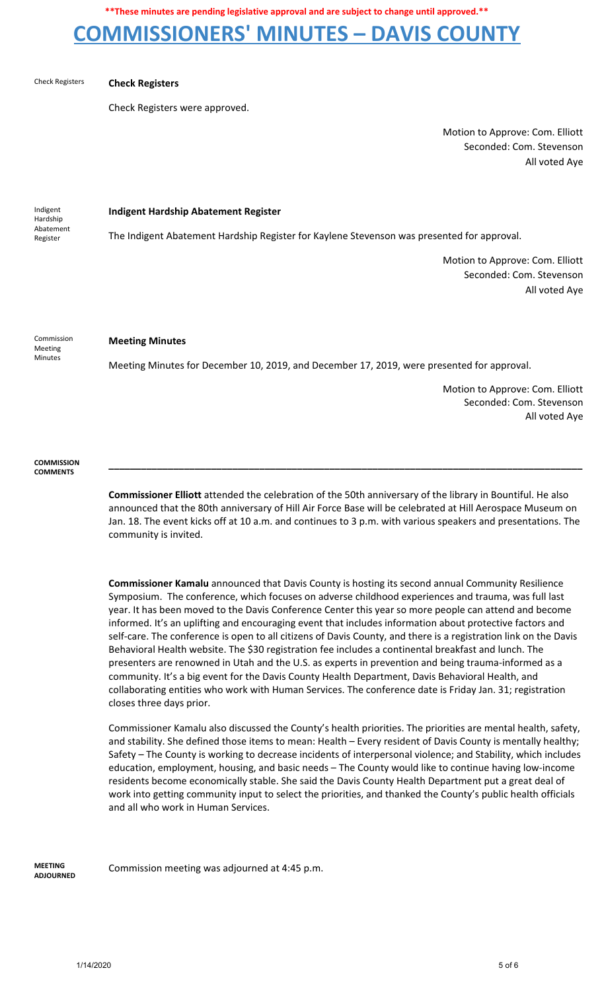## **COMMISSIONERS' MINUTES – DAVIS COUNTY**

#### Check Registers **Check Registers**

Check Registers were approved.

Motion to Approve: Com. Elliott Seconded: Com. Stevenson All voted Aye

Indigent Hardship Abatement Register

**Indigent Hardship Abatement Register**

The Indigent Abatement Hardship Register for Kaylene Stevenson was presented for approval.

Motion to Approve: Com. Elliott Seconded: Com. Stevenson All voted Aye

Commission Meeting Minutes

### **Meeting Minutes**

Meeting Minutes for December 10, 2019, and December 17, 2019, were presented for approval.

Motion to Approve: Com. Elliott Seconded: Com. Stevenson All voted Aye

**COMMISSION COMMENTS**

> **Commissioner Elliott** attended the celebration of the 50th anniversary of the library in Bountiful. He also announced that the 80th anniversary of Hill Air Force Base will be celebrated at Hill Aerospace Museum on Jan. 18. The event kicks off at 10 a.m. and continues to 3 p.m. with various speakers and presentations. The community is invited.

> **\_\_\_\_\_\_\_\_\_\_\_\_\_\_\_\_\_\_\_\_\_\_\_\_\_\_\_\_\_\_\_\_\_\_\_\_\_\_\_\_\_\_\_\_\_\_\_\_\_\_\_\_\_\_\_\_\_\_\_\_\_\_\_\_\_\_\_\_\_\_\_\_\_\_\_\_\_\_\_\_\_\_\_\_\_\_\_\_**

**Commissioner Kamalu** announced that Davis County is hosting its second annual Community Resilience Symposium. The conference, which focuses on adverse childhood experiences and trauma, was full last year. It has been moved to the Davis Conference Center this year so more people can attend and become informed. It's an uplifting and encouraging event that includes information about protective factors and self-care. The conference is open to all citizens of Davis County, and there is a registration link on the Davis Behavioral Health website. The \$30 registration fee includes a continental breakfast and lunch. The presenters are renowned in Utah and the U.S. as experts in prevention and being trauma-informed as a community. It's a big event for the Davis County Health Department, Davis Behavioral Health, and collaborating entities who work with Human Services. The conference date is Friday Jan. 31; registration closes three days prior.

Commissioner Kamalu also discussed the County's health priorities. The priorities are mental health, safety, and stability. She defined those items to mean: Health – Every resident of Davis County is mentally healthy; Safety – The County is working to decrease incidents of interpersonal violence; and Stability, which includes education, employment, housing, and basic needs – The County would like to continue having low-income residents become economically stable. She said the Davis County Health Department put a great deal of work into getting community input to select the priorities, and thanked the County's public health officials and all who work in Human Services.

**MEETING ADJOURNED**

Commission meeting was adjourned at 4:45 p.m.